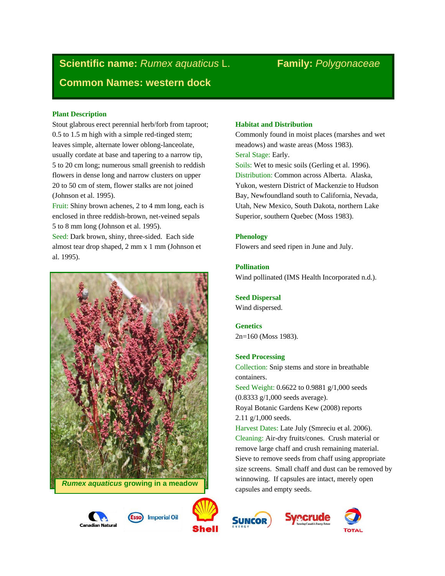# **Scientific name:** *Rumex aquaticus* L. **Family:** *Polygonaceae* **Common Names: western dock**

# **Plant Description**

Stout glabrous erect perennial herb/forb from taproot; 0.5 to 1.5 m high with a simple red-tinged stem; leaves simple, alternate lower oblong-lanceolate, usually cordate at base and tapering to a narrow tip, 5 to 20 cm long; numerous small greenish to reddish flowers in dense long and narrow clusters on upper 20 to 50 cm of stem, flower stalks are not joined (Johnson et al. 1995).

Fruit: Shiny brown achenes, 2 to 4 mm long, each is enclosed in three reddish-brown, net-veined sepals 5 to 8 mm long (Johnson et al. 1995).

Seed: Dark brown, shiny, three-sided. Each side almost tear drop shaped, 2 mm x 1 mm (Johnson et al. 1995).







# **Habitat and Distribution**

Commonly found in moist places (marshes and wet meadows) and waste areas (Moss 1983). Seral Stage: Early. Soils: Wet to mesic soils (Gerling et al. 1996).

Distribution: Common across Alberta. Alaska, Yukon, western District of Mackenzie to Hudson Bay, Newfoundland south to California, Nevada, Utah, New Mexico, South Dakota, northern Lake Superior, southern Quebec (Moss 1983).

# **Phenology**

Flowers and seed ripen in June and July.

# **Pollination**

Wind pollinated (IMS Health Incorporated n.d.).

# **Seed Dispersal**

Wind dispersed.

**Genetics** 2n=160 (Moss 1983).

# **Seed Processing**

Collection: Snip stems and store in breathable containers. Seed Weight: 0.6622 to 0.9881 g/1,000 seeds (0.8333 g/1,000 seeds average). Royal Botanic Gardens Kew (2008) reports 2.11 g/1,000 seeds. Harvest Dates: Late July (Smreciu et al. 2006). Cleaning: Air-dry fruits/cones. Crush material or remove large chaff and crush remaining material. Sieve to remove seeds from chaff using appropriate size screens. Small chaff and dust can be removed by winnowing. If capsules are intact, merely open capsules and empty seeds.



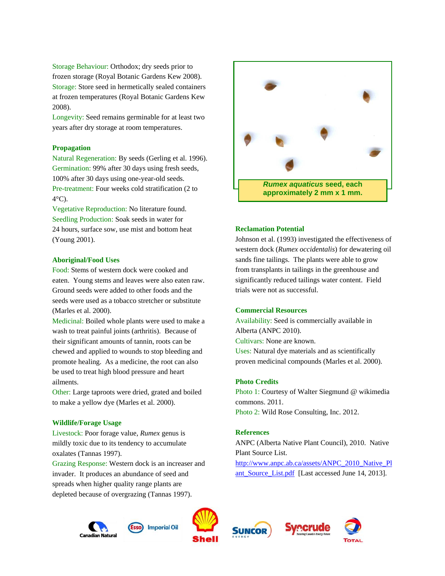Storage Behaviour: Orthodox; dry seeds prior to frozen storage (Royal Botanic Gardens Kew 2008). Storage: Store seed in hermetically sealed containers at frozen temperatures (Royal Botanic Gardens Kew 2008).

Longevity: Seed remains germinable for at least two years after dry storage at room temperatures.

# **Propagation**

Natural Regeneration: By seeds (Gerling et al. 1996). Germination: 99% after 30 days using fresh seeds, 100% after 30 days using one-year-old seeds. Pre-treatment: Four weeks cold stratification (2 to 4°C).

Vegetative Reproduction: No literature found. Seedling Production: Soak seeds in water for 24 hours, surface sow, use mist and bottom heat (Young 2001).

# **Aboriginal/Food Uses**

Food: Stems of western dock were cooked and eaten. Young stems and leaves were also eaten raw. Ground seeds were added to other foods and the seeds were used as a tobacco stretcher or substitute (Marles et al. 2000).

Medicinal: Boiled whole plants were used to make a wash to treat painful joints (arthritis). Because of their significant amounts of tannin, roots can be chewed and applied to wounds to stop bleeding and promote healing. As a medicine, the root can also be used to treat high blood pressure and heart ailments.

Other: Large taproots were dried, grated and boiled to make a yellow dye (Marles et al. 2000).

#### **Wildlife/Forage Usage**

Livestock: Poor forage value, *Rumex* genus is mildly toxic due to its tendency to accumulate oxalates (Tannas 1997).

Grazing Response: Western dock is an increaser and invader. It produces an abundance of seed and spreads when higher quality range plants are depleted because of overgrazing (Tannas 1997).



# **Reclamation Potential**

Johnson et al. (1993) investigated the effectiveness of western dock (*Rumex occidentalis*) for dewatering oil sands fine tailings. The plants were able to grow from transplants in tailings in the greenhouse and significantly reduced tailings water content. Field trials were not as successful.

# **Commercial Resources**

Availability: Seed is commercially available in Alberta (ANPC 2010). Cultivars: None are known. Uses: Natural dye materials and as scientifically proven medicinal compounds (Marles et al. 2000).

# **Photo Credits**

Photo 1: Courtesy of Walter Siegmund @ wikimedia commons. 2011. Photo 2: Wild Rose Consulting, Inc. 2012.

# **References**

ANPC (Alberta Native Plant Council), 2010. Native Plant Source List. [http://www.anpc.ab.ca/assets/ANPC\\_2010\\_Native\\_Pl](http://www.anpc.ab.ca/assets/ANPC_2010_Native_Plant_Source_List.pdf) [ant\\_Source\\_List.pdf](http://www.anpc.ab.ca/assets/ANPC_2010_Native_Plant_Source_List.pdf) [Last accessed June 14, 2013].